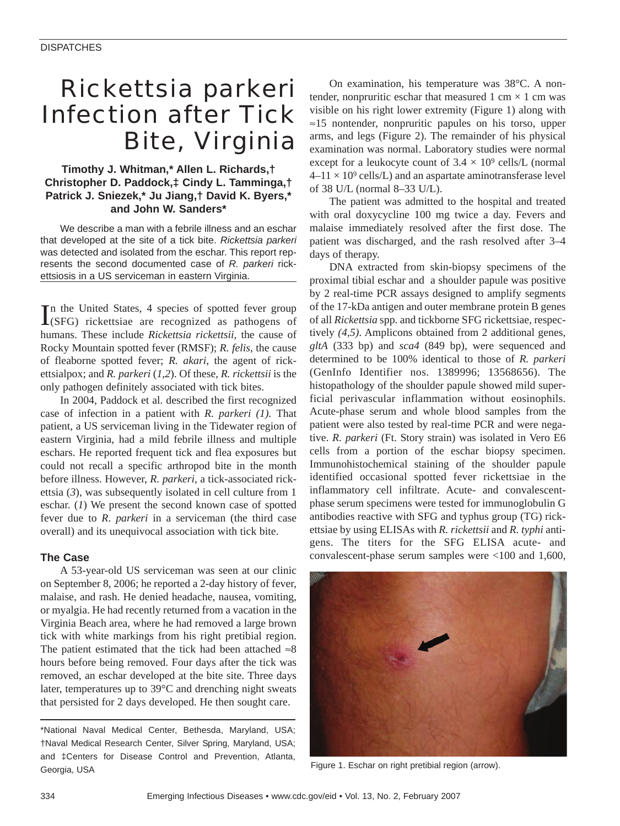# *Rickettsia parkeri* Infection after Tick Bite, Virginia

## **Timothy J. Whitman,\* Allen L. Richards,† Christopher D. Paddock,‡ Cindy L. Tamminga,† Patrick J. Sniezek,\* Ju Jiang,† David K. Byers,\* and John W. Sanders\***

We describe a man with a febrile illness and an eschar that developed at the site of a tick bite. *Rickettsia parkeri* was detected and isolated from the eschar. This report represents the second documented case of *R. parkeri* rickettsiosis in a US serviceman in eastern Virginia.

In the United States, 4 species of spotted fever group<br>(SFG) rickettsiae are recognized as pathogens of n the United States, 4 species of spotted fever group humans. These include *Rickettsia rickettsii*, the cause of Rocky Mountain spotted fever (RMSF); *R. felis*, the cause of fleaborne spotted fever; *R. akari*, the agent of rickettsialpox; and *R. parkeri* (*1*,*2*). Of these, *R. rickettsii* is the only pathogen definitely associated with tick bites.

In 2004, Paddock et al. described the first recognized case of infection in a patient with *R. parkeri (1).* That patient, a US serviceman living in the Tidewater region of eastern Virginia, had a mild febrile illness and multiple eschars. He reported frequent tick and flea exposures but could not recall a specific arthropod bite in the month before illness. However, *R. parkeri,* a tick-associated rickettsia (*3*), was subsequently isolated in cell culture from 1 eschar. (*1*) We present the second known case of spotted fever due to *R*. *parkeri* in a serviceman (the third case overall) and its unequivocal association with tick bite.

## **The Case**

A 53-year-old US serviceman was seen at our clinic on September 8, 2006; he reported a 2-day history of fever, malaise, and rash. He denied headache, nausea, vomiting, or myalgia. He had recently returned from a vacation in the Virginia Beach area, where he had removed a large brown tick with white markings from his right pretibial region. The patient estimated that the tick had been attached  $\approx 8$ hours before being removed. Four days after the tick was removed, an eschar developed at the bite site. Three days later, temperatures up to 39°C and drenching night sweats that persisted for 2 days developed. He then sought care.

\*National Naval Medical Center, Bethesda, Maryland, USA; †Naval Medical Research Center, Silver Spring, Maryland, USA; and ‡Centers for Disease Control and Prevention, Atlanta, Georgia, USA **Figure 1. Eschar on right pretibial region (arrow)**.

On examination, his temperature was 38°C. A nontender, nonpruritic eschar that measured 1 cm  $\times$  1 cm was visible on his right lower extremity (Figure 1) along with ≈15 nontender, nonpruritic papules on his torso, upper arms, and legs (Figure 2). The remainder of his physical examination was normal. Laboratory studies were normal except for a leukocyte count of  $3.4 \times 10^9$  cells/L (normal  $4-11 \times 10^9$  cells/L) and an aspartate aminotransferase level of 38 U/L (normal 8–33 U/L).

The patient was admitted to the hospital and treated with oral doxycycline 100 mg twice a day. Fevers and malaise immediately resolved after the first dose. The patient was discharged, and the rash resolved after 3–4 days of therapy.

DNA extracted from skin-biopsy specimens of the proximal tibial eschar and a shoulder papule was positive by 2 real-time PCR assays designed to amplify segments of the 17-kDa antigen and outer membrane protein B genes of all *Rickettsia* spp. and tickborne SFG rickettsiae, respectively *(4,5)*. Amplicons obtained from 2 additional genes, *gltA* (333 bp) and *sca4* (849 bp), were sequenced and determined to be 100% identical to those of *R. parkeri* (GenInfo Identifier nos. 1389996; 13568656). The histopathology of the shoulder papule showed mild superficial perivascular inflammation without eosinophils. Acute-phase serum and whole blood samples from the patient were also tested by real-time PCR and were negative. *R. parkeri* (Ft. Story strain) was isolated in Vero E6 cells from a portion of the eschar biopsy specimen. Immunohistochemical staining of the shoulder papule identified occasional spotted fever rickettsiae in the inflammatory cell infiltrate. Acute- and convalescentphase serum specimens were tested for immunoglobulin G antibodies reactive with SFG and typhus group (TG) rickettsiae by using ELISAs with *R. rickettsii* and *R. typhi* antigens. The titers for the SFG ELISA acute- and convalescent-phase serum samples were <100 and 1,600,

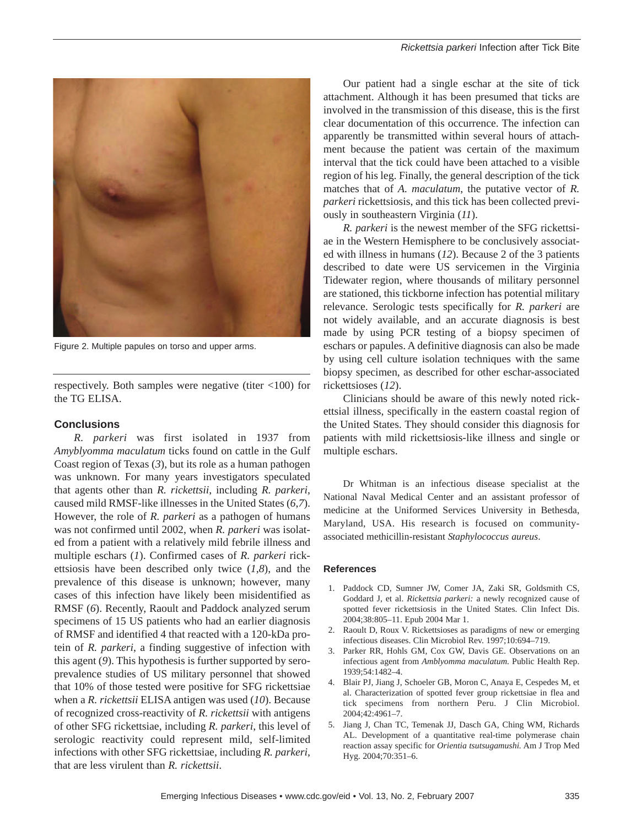

Figure 2. Multiple papules on torso and upper arms.

respectively. Both samples were negative (titer <100) for the TG ELISA.

### **Conclusions**

*R. parkeri* was first isolated in 1937 from *Amyblyomma maculatum* ticks found on cattle in the Gulf Coast region of Texas (*3*), but its role as a human pathogen was unknown. For many years investigators speculated that agents other than *R. rickettsii*, including *R. parkeri*, caused mild RMSF-like illnesses in the United States (*6*,*7*). However, the role of *R. parkeri* as a pathogen of humans was not confirmed until 2002, when *R. parkeri* was isolated from a patient with a relatively mild febrile illness and multiple eschars (*1*). Confirmed cases of *R. parkeri* rickettsiosis have been described only twice (*1*,*8*), and the prevalence of this disease is unknown; however, many cases of this infection have likely been misidentified as RMSF (*6*). Recently, Raoult and Paddock analyzed serum specimens of 15 US patients who had an earlier diagnosis of RMSF and identified 4 that reacted with a 120-kDa protein of *R. parkeri*, a finding suggestive of infection with this agent (*9*). This hypothesis is further supported by seroprevalence studies of US military personnel that showed that 10% of those tested were positive for SFG rickettsiae when a *R. rickettsii* ELISA antigen was used (*10*). Because of recognized cross-reactivity of *R. rickettsii* with antigens of other SFG rickettsiae, including *R. parkeri*, this level of serologic reactivity could represent mild, self-limited infections with other SFG rickettsiae, including *R. parkeri,* that are less virulent than *R. rickettsii*.

Our patient had a single eschar at the site of tick attachment. Although it has been presumed that ticks are involved in the transmission of this disease, this is the first clear documentation of this occurrence. The infection can apparently be transmitted within several hours of attachment because the patient was certain of the maximum interval that the tick could have been attached to a visible region of his leg. Finally, the general description of the tick matches that of *A. maculatum*, the putative vector of *R. parkeri* rickettsiosis, and this tick has been collected previously in southeastern Virginia (*11*).

*R. parkeri* is the newest member of the SFG rickettsiae in the Western Hemisphere to be conclusively associated with illness in humans (*12*). Because 2 of the 3 patients described to date were US servicemen in the Virginia Tidewater region, where thousands of military personnel are stationed, this tickborne infection has potential military relevance. Serologic tests specifically for *R. parkeri* are not widely available, and an accurate diagnosis is best made by using PCR testing of a biopsy specimen of eschars or papules. A definitive diagnosis can also be made by using cell culture isolation techniques with the same biopsy specimen, as described for other eschar-associated rickettsioses (*12*).

Clinicians should be aware of this newly noted rickettsial illness, specifically in the eastern coastal region of the United States. They should consider this diagnosis for patients with mild rickettsiosis-like illness and single or multiple eschars.

Dr Whitman is an infectious disease specialist at the National Naval Medical Center and an assistant professor of medicine at the Uniformed Services University in Bethesda, Maryland, USA. His research is focused on communityassociated methicillin-resistant *Staphylococcus aureus*.

#### **References**

- 1. Paddock CD, Sumner JW, Comer JA, Zaki SR, Goldsmith CS, Goddard J, et al. *Rickettsia parkeri:* a newly recognized cause of spotted fever rickettsiosis in the United States. Clin Infect Dis. 2004;38:805–11. Epub 2004 Mar 1.
- 2. Raoult D, Roux V. Rickettsioses as paradigms of new or emerging infectious diseases. Clin Microbiol Rev. 1997;10:694–719.
- 3. Parker RR, Hohls GM, Cox GW, Davis GE. Observations on an infectious agent from *Amblyomma maculatum.* Public Health Rep. 1939;54:1482–4.
- 4. Blair PJ, Jiang J, Schoeler GB, Moron C, Anaya E, Cespedes M, et al. Characterization of spotted fever group rickettsiae in flea and tick specimens from northern Peru. J Clin Microbiol. 2004;42:4961–7.
- 5. Jiang J, Chan TC, Temenak JJ, Dasch GA, Ching WM, Richards AL. Development of a quantitative real-time polymerase chain reaction assay specific for *Orientia tsutsugamushi.* Am J Trop Med Hyg. 2004;70:351–6.